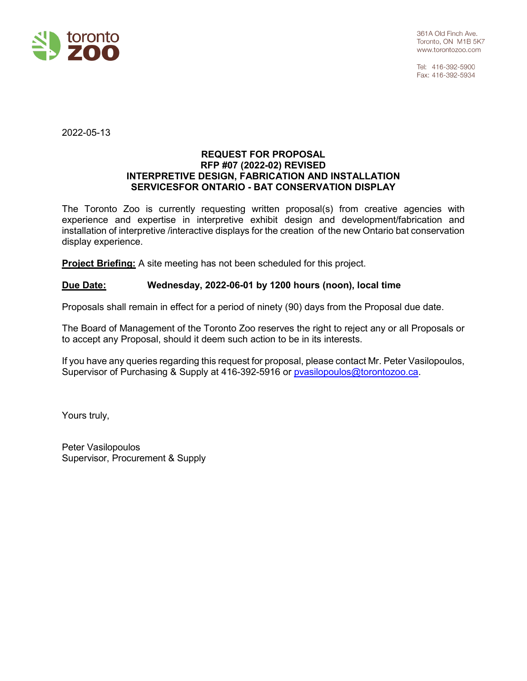

Tel: 416-392-5900 Fax: 416-392-5934

2022-05-13

#### **REQUEST FOR PROPOSAL RFP #07 (2022-02) REVISED INTERPRETIVE DESIGN, FABRICATION AND INSTALLATION SERVICESFOR ONTARIO - BAT CONSERVATION DISPLAY**

The Toronto Zoo is currently requesting written proposal(s) from creative agencies with experience and expertise in interpretive exhibit design and development/fabrication and installation of interpretive /interactive displays for the creation of the new Ontario bat conservation display experience.

**Project Briefing:** A site meeting has not been scheduled for this project.

#### **Due Date: Wednesday, 2022-06-01 by 1200 hours (noon), local time**

Proposals shall remain in effect for a period of ninety (90) days from the Proposal due date.

The Board of Management of the Toronto Zoo reserves the right to reject any or all Proposals or to accept any Proposal, should it deem such action to be in its interests.

If you have any queries regarding this request for proposal, please contact Mr. Peter Vasilopoulos, Supervisor of Purchasing & Supply at 416-392-5916 or [pvasilopoulos@torontozoo.ca.](mailto:pvasilopoulos@torontozoo.ca)

Yours truly,

Peter Vasilopoulos Supervisor, Procurement & Supply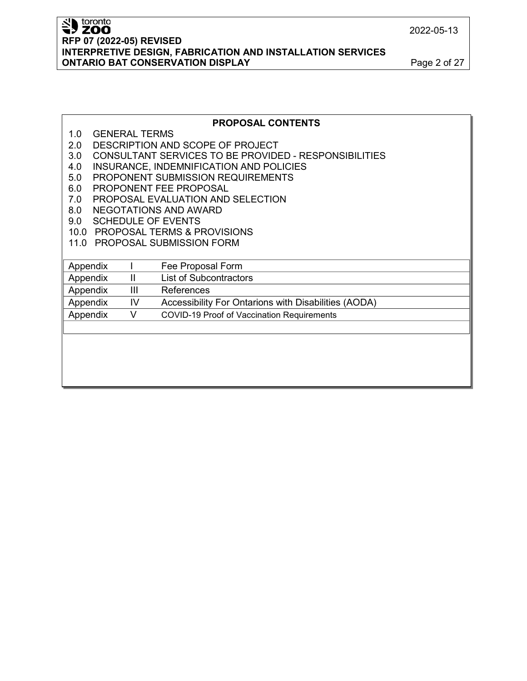# SID toronto **RFP 07 (2022-05) REVISED INTERPRETIVE DESIGN, FABRICATION AND INSTALLATION SERVICES ONTARIO BAT CONSERVATION DISPLAY Page 2 of 27**

### **PROPOSAL CONTENTS**

- 1.0 GENERAL TERMS
- 2.0 DESCRIPTION AND SCOPE OF PROJECT
- 3.0 CONSULTANT SERVICES TO BE PROVIDED RESPONSIBILITIES
- 4.0 INSURANCE, INDEMNIFICATION AND POLICIES
- 5.0 PROPONENT SUBMISSION REQUIREMENTS
- 6.0 PROPONENT FEE PROPOSAL
- 7.0 PROPOSAL EVALUATION AND SELECTION
- 8.0 NEGOTATIONS AND AWARD
- 9.0 SCHEDULE OF EVENTS
- 10.0 PROPOSAL TERMS & PROVISIONS
- 11.0 PROPOSAL SUBMISSION FORM

| Appendix |    | Fee Proposal Form                                    |
|----------|----|------------------------------------------------------|
| Appendix | Ш  | <b>List of Subcontractors</b>                        |
| Appendix | Ш  | References                                           |
| Appendix | IV | Accessibility For Ontarions with Disabilities (AODA) |
| Appendix |    | COVID-19 Proof of Vaccination Requirements           |
|          |    |                                                      |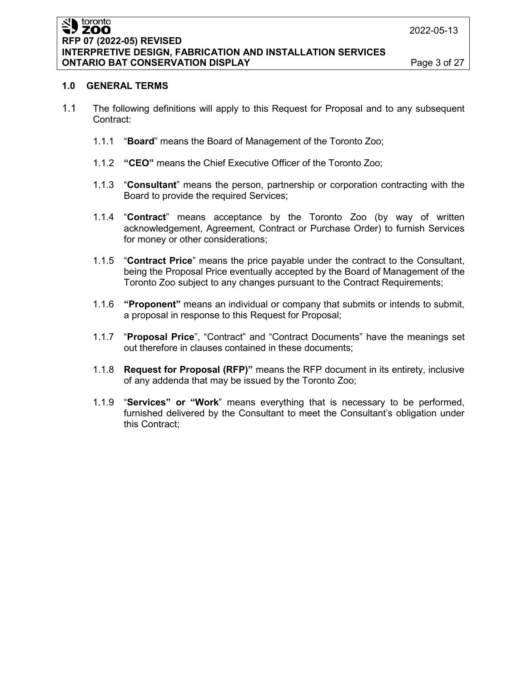#### toronto ≒, žoo **RFP 07 (2022-05) REVISED INTERPRETIVE DESIGN, FABRICATION AND INSTALLATION SERVICES ONTARIO BAT CONSERVATION DISPLAY Page 3 of 27**

#### **1.0 GENERAL TERMS**

- 1.1 The following definitions will apply to this Request for Proposal and to any subsequent Contract:
	- 1.1.1 "**Board**" means the Board of Management of the Toronto Zoo;
	- 1.1.2 **"CEO"** means the Chief Executive Officer of the Toronto Zoo;
	- 1.1.3 "**Consultant**" means the person, partnership or corporation contracting with the Board to provide the required Services;
	- 1.1.4 "**Contract**" means acceptance by the Toronto Zoo (by way of written acknowledgement, Agreement, Contract or Purchase Order) to furnish Services for money or other considerations;
	- 1.1.5 "**Contract Price**" means the price payable under the contract to the Consultant, being the Proposal Price eventually accepted by the Board of Management of the Toronto Zoo subject to any changes pursuant to the Contract Requirements;
	- 1.1.6 **"Proponent"** means an individual or company that submits or intends to submit, a proposal in response to this Request for Proposal;
	- 1.1.7 "**Proposal Price**", "Contract" and "Contract Documents" have the meanings set out therefore in clauses contained in these documents;
	- 1.1.8 **Request for Proposal (RFP)"** means the RFP document in its entirety, inclusive of any addenda that may be issued by the Toronto Zoo;
	- 1.1.9 "**Services" or "Work**" means everything that is necessary to be performed, furnished delivered by the Consultant to meet the Consultant's obligation under this Contract;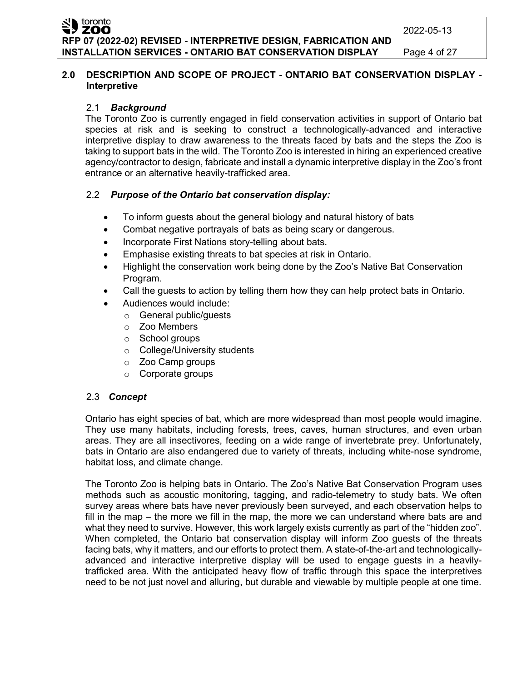## **2.0 DESCRIPTION AND SCOPE OF PROJECT - ONTARIO BAT CONSERVATION DISPLAY - Interpretive**

## 2.1 *Background*

The Toronto Zoo is currently engaged in field conservation activities in support of Ontario bat species at risk and is seeking to construct a technologically-advanced and interactive interpretive display to draw awareness to the threats faced by bats and the steps the Zoo is taking to support bats in the wild. The Toronto Zoo is interested in hiring an experienced creative agency/contractor to design, fabricate and install a dynamic interpretive display in the Zoo's front entrance or an alternative heavily-trafficked area.

## 2.2 *Purpose of the Ontario bat conservation display:*

- To inform guests about the general biology and natural history of bats
- Combat negative portrayals of bats as being scary or dangerous.
- Incorporate First Nations story-telling about bats.
- Emphasise existing threats to bat species at risk in Ontario.
- Highlight the conservation work being done by the Zoo's Native Bat Conservation Program.
- Call the guests to action by telling them how they can help protect bats in Ontario.
- Audiences would include:
	- o General public/guests
	- o Zoo Members
	- o School groups
	- o College/University students
	- o Zoo Camp groups
	- o Corporate groups

## 2.3 *Concept*

Ontario has eight species of bat, which are more widespread than most people would imagine. They use many habitats, including forests, trees, caves, human structures, and even urban areas. They are all insectivores, feeding on a wide range of invertebrate prey. Unfortunately, bats in Ontario are also endangered due to variety of threats, including white-nose syndrome, habitat loss, and climate change.

The Toronto Zoo is helping bats in Ontario. The Zoo's Native Bat Conservation Program uses methods such as acoustic monitoring, tagging, and radio-telemetry to study bats. We often survey areas where bats have never previously been surveyed, and each observation helps to fill in the map – the more we fill in the map, the more we can understand where bats are and what they need to survive. However, this work largely exists currently as part of the "hidden zoo". When completed, the Ontario bat conservation display will inform Zoo guests of the threats facing bats, why it matters, and our efforts to protect them. A state-of-the-art and technologicallyadvanced and interactive interpretive display will be used to engage guests in a heavilytrafficked area. With the anticipated heavy flow of traffic through this space the interpretives need to be not just novel and alluring, but durable and viewable by multiple people at one time.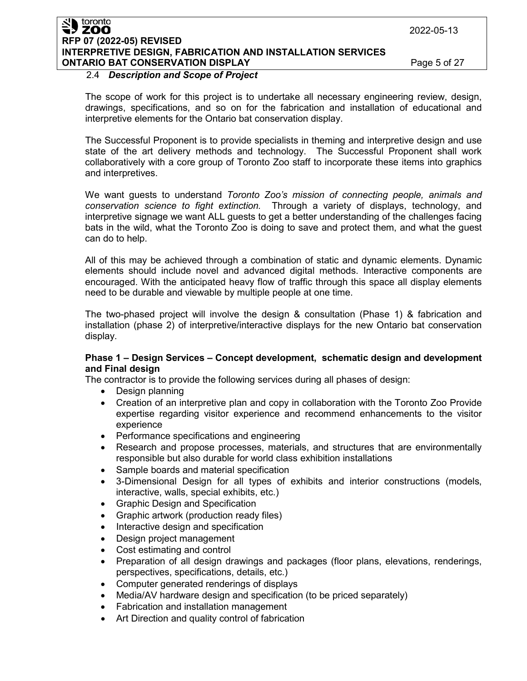#### toronto **ZOO RFP 07 (2022-05) REVISED INTERPRETIVE DESIGN, FABRICATION AND INSTALLATION SERVICES ONTARIO BAT CONSERVATION DISPLAY Page 5 of 27**

### 2.4 *Description and Scope of Project*

The scope of work for this project is to undertake all necessary engineering review, design, drawings, specifications, and so on for the fabrication and installation of educational and interpretive elements for the Ontario bat conservation display.

The Successful Proponent is to provide specialists in theming and interpretive design and use state of the art delivery methods and technology. The Successful Proponent shall work collaboratively with a core group of Toronto Zoo staff to incorporate these items into graphics and interpretives.

We want guests to understand *Toronto Zoo's mission of connecting people, animals and conservation science to fight extinction.* Through a variety of displays, technology, and interpretive signage we want ALL guests to get a better understanding of the challenges facing bats in the wild, what the Toronto Zoo is doing to save and protect them, and what the guest can do to help.

All of this may be achieved through a combination of static and dynamic elements. Dynamic elements should include novel and advanced digital methods. Interactive components are encouraged. With the anticipated heavy flow of traffic through this space all display elements need to be durable and viewable by multiple people at one time.

The two-phased project will involve the design & consultation (Phase 1) & fabrication and installation (phase 2) of interpretive/interactive displays for the new Ontario bat conservation display.

#### **Phase 1 – Design Services – Concept development, schematic design and development and Final design**

The contractor is to provide the following services during all phases of design:

- Design planning
- Creation of an interpretive plan and copy in collaboration with the Toronto Zoo Provide expertise regarding visitor experience and recommend enhancements to the visitor experience
- Performance specifications and engineering
- Research and propose processes, materials, and structures that are environmentally responsible but also durable for world class exhibition installations
- Sample boards and material specification
- 3-Dimensional Design for all types of exhibits and interior constructions (models, interactive, walls, special exhibits, etc.)
- Graphic Design and Specification
- Graphic artwork (production ready files)
- Interactive design and specification
- Design project management
- Cost estimating and control
- Preparation of all design drawings and packages (floor plans, elevations, renderings, perspectives, specifications, details, etc.)
- Computer generated renderings of displays
- Media/AV hardware design and specification (to be priced separately)
- Fabrication and installation management
- Art Direction and quality control of fabrication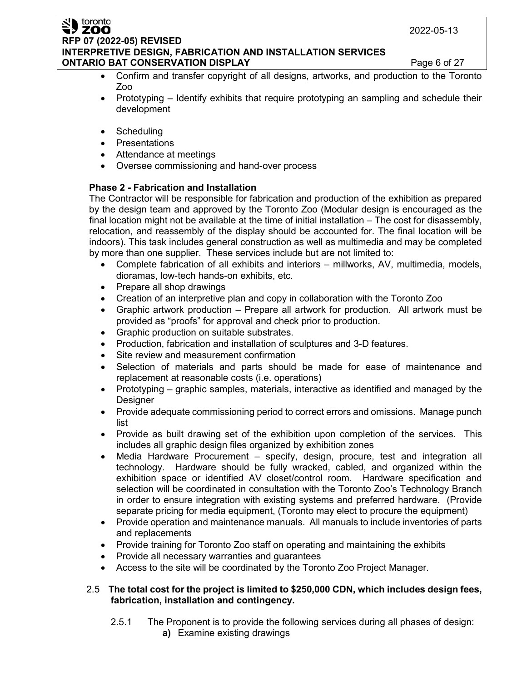#### toronto **ZOO RFP 07 (2022-05) REVISED INTERPRETIVE DESIGN, FABRICATION AND INSTALLATION SERVICES ONTARIO BAT CONSERVATION DISPLAY** Page 6 of 27

- Confirm and transfer copyright of all designs, artworks, and production to the Toronto Zoo
- Prototyping Identify exhibits that require prototyping an sampling and schedule their development
- Scheduling
- Presentations
- Attendance at meetings
- Oversee commissioning and hand-over process

## **Phase 2 - Fabrication and Installation**

The Contractor will be responsible for fabrication and production of the exhibition as prepared by the design team and approved by the Toronto Zoo (Modular design is encouraged as the final location might not be available at the time of initial installation – The cost for disassembly, relocation, and reassembly of the display should be accounted for. The final location will be indoors). This task includes general construction as well as multimedia and may be completed by more than one supplier. These services include but are not limited to:

- Complete fabrication of all exhibits and interiors millworks, AV, multimedia, models, dioramas, low-tech hands-on exhibits, etc.
- Prepare all shop drawings
- Creation of an interpretive plan and copy in collaboration with the Toronto Zoo
- Graphic artwork production Prepare all artwork for production. All artwork must be provided as "proofs" for approval and check prior to production.
- Graphic production on suitable substrates.
- Production, fabrication and installation of sculptures and 3-D features.
- Site review and measurement confirmation
- Selection of materials and parts should be made for ease of maintenance and replacement at reasonable costs (i.e. operations)
- Prototyping graphic samples, materials, interactive as identified and managed by the Designer
- Provide adequate commissioning period to correct errors and omissions. Manage punch list
- Provide as built drawing set of the exhibition upon completion of the services. This includes all graphic design files organized by exhibition zones
- Media Hardware Procurement specify, design, procure, test and integration all technology. Hardware should be fully wracked, cabled, and organized within the exhibition space or identified AV closet/control room. Hardware specification and selection will be coordinated in consultation with the Toronto Zoo's Technology Branch in order to ensure integration with existing systems and preferred hardware. (Provide separate pricing for media equipment, (Toronto may elect to procure the equipment)
- Provide operation and maintenance manuals. All manuals to include inventories of parts and replacements
- Provide training for Toronto Zoo staff on operating and maintaining the exhibits
- Provide all necessary warranties and guarantees
- Access to the site will be coordinated by the Toronto Zoo Project Manager.

## 2.5 **The total cost for the project is limited to \$250,000 CDN, which includes design fees, fabrication, installation and contingency.**

2.5.1 The Proponent is to provide the following services during all phases of design: **a)** Examine existing drawings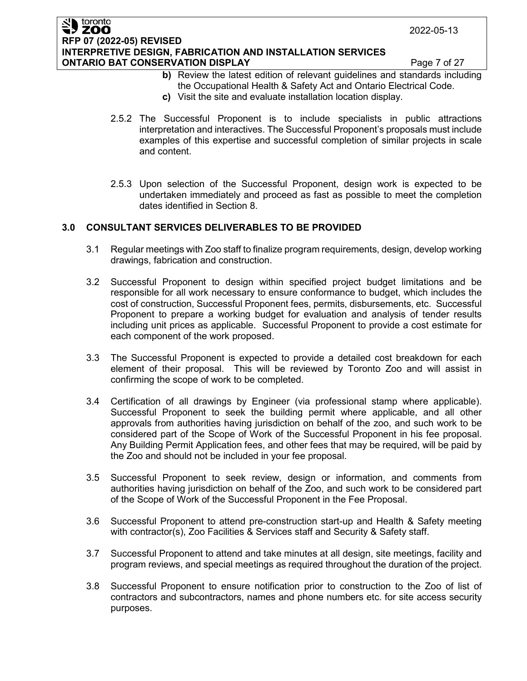#### toronto ZOO **RFP 07 (2022-05) REVISED INTERPRETIVE DESIGN, FABRICATION AND INSTALLATION SERVICES ONTARIO BAT CONSERVATION DISPLAY Page 7 of 27**

- **b)** Review the latest edition of relevant guidelines and standards including the Occupational Health & Safety Act and Ontario Electrical Code.
- **c)** Visit the site and evaluate installation location display.
- 2.5.2 The Successful Proponent is to include specialists in public attractions interpretation and interactives. The Successful Proponent's proposals must include examples of this expertise and successful completion of similar projects in scale and content.
- 2.5.3 Upon selection of the Successful Proponent, design work is expected to be undertaken immediately and proceed as fast as possible to meet the completion dates identified in Section 8.

## **3.0 CONSULTANT SERVICES DELIVERABLES TO BE PROVIDED**

- 3.1 Regular meetings with Zoo staff to finalize program requirements, design, develop working drawings, fabrication and construction.
- 3.2 Successful Proponent to design within specified project budget limitations and be responsible for all work necessary to ensure conformance to budget, which includes the cost of construction, Successful Proponent fees, permits, disbursements, etc. Successful Proponent to prepare a working budget for evaluation and analysis of tender results including unit prices as applicable. Successful Proponent to provide a cost estimate for each component of the work proposed.
- 3.3 The Successful Proponent is expected to provide a detailed cost breakdown for each element of their proposal. This will be reviewed by Toronto Zoo and will assist in confirming the scope of work to be completed.
- 3.4 Certification of all drawings by Engineer (via professional stamp where applicable). Successful Proponent to seek the building permit where applicable, and all other approvals from authorities having jurisdiction on behalf of the zoo, and such work to be considered part of the Scope of Work of the Successful Proponent in his fee proposal. Any Building Permit Application fees, and other fees that may be required, will be paid by the Zoo and should not be included in your fee proposal.
- 3.5 Successful Proponent to seek review, design or information, and comments from authorities having jurisdiction on behalf of the Zoo, and such work to be considered part of the Scope of Work of the Successful Proponent in the Fee Proposal.
- 3.6 Successful Proponent to attend pre-construction start-up and Health & Safety meeting with contractor(s), Zoo Facilities & Services staff and Security & Safety staff.
- 3.7 Successful Proponent to attend and take minutes at all design, site meetings, facility and program reviews, and special meetings as required throughout the duration of the project.
- 3.8 Successful Proponent to ensure notification prior to construction to the Zoo of list of contractors and subcontractors, names and phone numbers etc. for site access security purposes.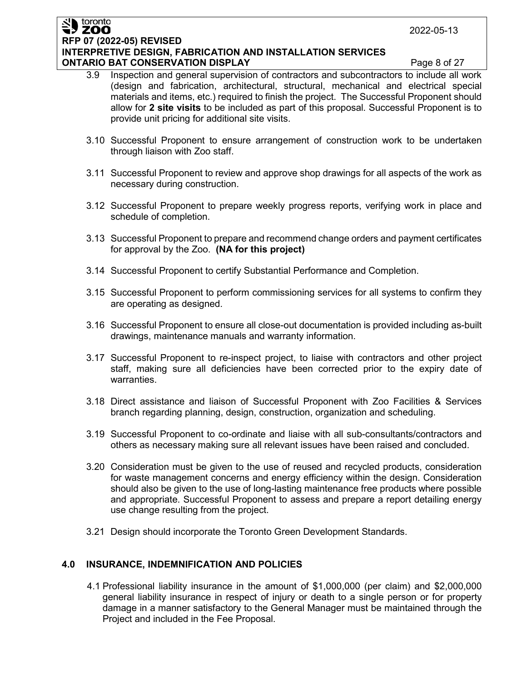#### toronto ZOO **RFP 07 (2022-05) REVISED INTERPRETIVE DESIGN, FABRICATION AND INSTALLATION SERVICES ONTARIO BAT CONSERVATION DISPLAY Page 8 of 27**

- 3.9 Inspection and general supervision of contractors and subcontractors to include all work (design and fabrication, architectural, structural, mechanical and electrical special materials and items, etc.) required to finish the project. The Successful Proponent should allow for **2 site visits** to be included as part of this proposal. Successful Proponent is to provide unit pricing for additional site visits.
- 3.10 Successful Proponent to ensure arrangement of construction work to be undertaken through liaison with Zoo staff.
- 3.11 Successful Proponent to review and approve shop drawings for all aspects of the work as necessary during construction.
- 3.12 Successful Proponent to prepare weekly progress reports, verifying work in place and schedule of completion.
- 3.13 Successful Proponent to prepare and recommend change orders and payment certificates for approval by the Zoo. **(NA for this project)**
- 3.14 Successful Proponent to certify Substantial Performance and Completion.
- 3.15 Successful Proponent to perform commissioning services for all systems to confirm they are operating as designed.
- 3.16 Successful Proponent to ensure all close-out documentation is provided including as-built drawings, maintenance manuals and warranty information.
- 3.17 Successful Proponent to re-inspect project, to liaise with contractors and other project staff, making sure all deficiencies have been corrected prior to the expiry date of warranties.
- 3.18 Direct assistance and liaison of Successful Proponent with Zoo Facilities & Services branch regarding planning, design, construction, organization and scheduling.
- 3.19 Successful Proponent to co-ordinate and liaise with all sub-consultants/contractors and others as necessary making sure all relevant issues have been raised and concluded.
- 3.20 Consideration must be given to the use of reused and recycled products, consideration for waste management concerns and energy efficiency within the design. Consideration should also be given to the use of long-lasting maintenance free products where possible and appropriate. Successful Proponent to assess and prepare a report detailing energy use change resulting from the project.
- 3.21 Design should incorporate the Toronto Green Development Standards.

## **4.0 INSURANCE, INDEMNIFICATION AND POLICIES**

4.1 Professional liability insurance in the amount of \$1,000,000 (per claim) and \$2,000,000 general liability insurance in respect of injury or death to a single person or for property damage in a manner satisfactory to the General Manager must be maintained through the Project and included in the Fee Proposal.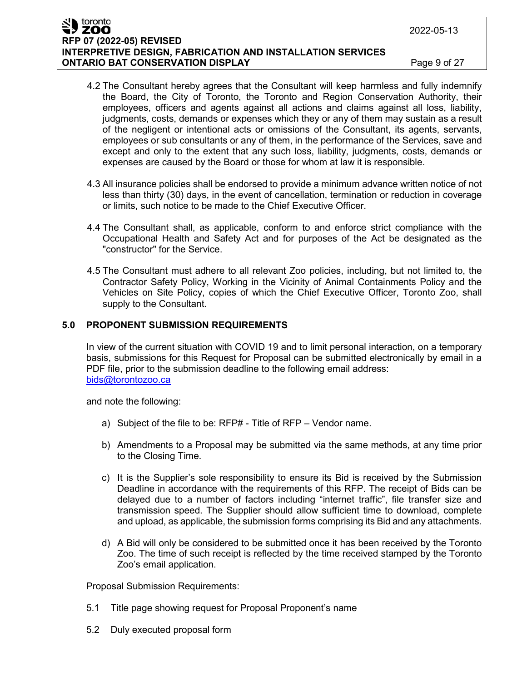#### toronto ZOO **RFP 07 (2022-05) REVISED INTERPRETIVE DESIGN, FABRICATION AND INSTALLATION SERVICES ONTARIO BAT CONSERVATION DISPLAY Page 9 of 27**

- 4.2 The Consultant hereby agrees that the Consultant will keep harmless and fully indemnify the Board, the City of Toronto, the Toronto and Region Conservation Authority, their employees, officers and agents against all actions and claims against all loss, liability, judgments, costs, demands or expenses which they or any of them may sustain as a result of the negligent or intentional acts or omissions of the Consultant, its agents, servants, employees or sub consultants or any of them, in the performance of the Services, save and except and only to the extent that any such loss, liability, judgments, costs, demands or expenses are caused by the Board or those for whom at law it is responsible.
- 4.3 All insurance policies shall be endorsed to provide a minimum advance written notice of not less than thirty (30) days, in the event of cancellation, termination or reduction in coverage or limits, such notice to be made to the Chief Executive Officer.
- 4.4 The Consultant shall, as applicable, conform to and enforce strict compliance with the Occupational Health and Safety Act and for purposes of the Act be designated as the "constructor" for the Service.
- 4.5 The Consultant must adhere to all relevant Zoo policies, including, but not limited to, the Contractor Safety Policy, Working in the Vicinity of Animal Containments Policy and the Vehicles on Site Policy, copies of which the Chief Executive Officer, Toronto Zoo, shall supply to the Consultant.

## **5.0 PROPONENT SUBMISSION REQUIREMENTS**

In view of the current situation with COVID 19 and to limit personal interaction, on a temporary basis, submissions for this Request for Proposal can be submitted electronically by email in a PDF file, prior to the submission deadline to the following email address: bids@torontozoo.ca

and note the following:

- a) Subject of the file to be: RFP# Title of RFP Vendor name.
- b) Amendments to a Proposal may be submitted via the same methods, at any time prior to the Closing Time.
- c) It is the Supplier's sole responsibility to ensure its Bid is received by the Submission Deadline in accordance with the requirements of this RFP. The receipt of Bids can be delayed due to a number of factors including "internet traffic", file transfer size and transmission speed. The Supplier should allow sufficient time to download, complete and upload, as applicable, the submission forms comprising its Bid and any attachments.
- d) A Bid will only be considered to be submitted once it has been received by the Toronto Zoo. The time of such receipt is reflected by the time received stamped by the Toronto Zoo's email application.

Proposal Submission Requirements:

- 5.1 Title page showing request for Proposal Proponent's name
- 5.2 Duly executed proposal form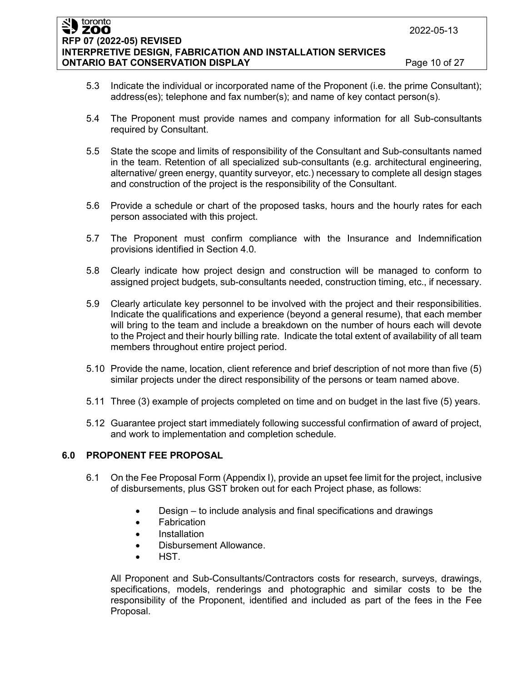**RFP 07 (2022-05) REVISED**

toronto ZOO

**INTERPRETIVE DESIGN, FABRICATION AND INSTALLATION SERVICES ONTARIO BAT CONSERVATION DISPLAY Page 10 of 27** 

- 5.3 Indicate the individual or incorporated name of the Proponent (i.e. the prime Consultant); address(es); telephone and fax number(s); and name of key contact person(s).
- 5.4 The Proponent must provide names and company information for all Sub-consultants required by Consultant.
- 5.5 State the scope and limits of responsibility of the Consultant and Sub-consultants named in the team. Retention of all specialized sub-consultants (e.g. architectural engineering, alternative/ green energy, quantity surveyor, etc.) necessary to complete all design stages and construction of the project is the responsibility of the Consultant.
- 5.6 Provide a schedule or chart of the proposed tasks, hours and the hourly rates for each person associated with this project.
- 5.7 The Proponent must confirm compliance with the Insurance and Indemnification provisions identified in Section 4.0.
- 5.8 Clearly indicate how project design and construction will be managed to conform to assigned project budgets, sub-consultants needed, construction timing, etc., if necessary.
- 5.9 Clearly articulate key personnel to be involved with the project and their responsibilities. Indicate the qualifications and experience (beyond a general resume), that each member will bring to the team and include a breakdown on the number of hours each will devote to the Project and their hourly billing rate. Indicate the total extent of availability of all team members throughout entire project period.
- 5.10 Provide the name, location, client reference and brief description of not more than five (5) similar projects under the direct responsibility of the persons or team named above.
- 5.11 Three (3) example of projects completed on time and on budget in the last five (5) years.
- 5.12 Guarantee project start immediately following successful confirmation of award of project, and work to implementation and completion schedule.

## **6.0 PROPONENT FEE PROPOSAL**

- 6.1 On the Fee Proposal Form (Appendix I), provide an upset fee limit for the project, inclusive of disbursements, plus GST broken out for each Project phase, as follows:
	- Design to include analysis and final specifications and drawings
	- Fabrication
	- Installation
	- Disbursement Allowance.
	- HST.

All Proponent and Sub-Consultants/Contractors costs for research, surveys, drawings, specifications, models, renderings and photographic and similar costs to be the responsibility of the Proponent, identified and included as part of the fees in the Fee Proposal.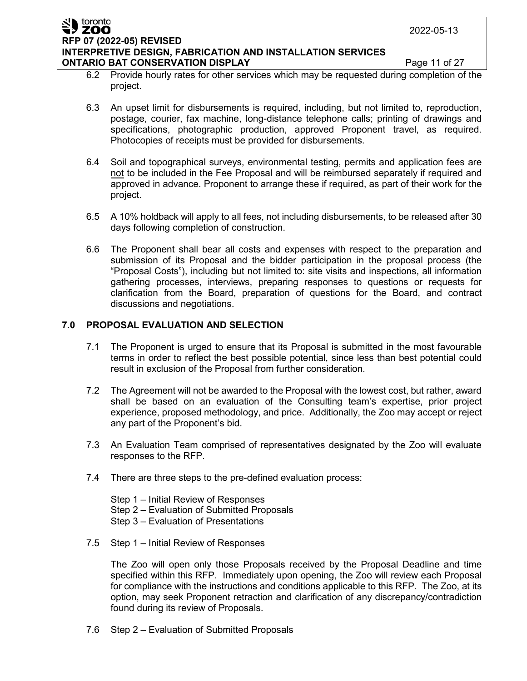#### toronto ZOO **RFP 07 (2022-05) REVISED INTERPRETIVE DESIGN, FABRICATION AND INSTALLATION SERVICES ONTARIO BAT CONSERVATION DISPLAY Page 11 of 27**

- 6.2 Provide hourly rates for other services which may be requested during completion of the project.
- 6.3 An upset limit for disbursements is required, including, but not limited to, reproduction, postage, courier, fax machine, long-distance telephone calls; printing of drawings and specifications, photographic production, approved Proponent travel, as required. Photocopies of receipts must be provided for disbursements.
- 6.4 Soil and topographical surveys, environmental testing, permits and application fees are not to be included in the Fee Proposal and will be reimbursed separately if required and approved in advance. Proponent to arrange these if required, as part of their work for the project.
- 6.5 A 10% holdback will apply to all fees, not including disbursements, to be released after 30 days following completion of construction.
- 6.6 The Proponent shall bear all costs and expenses with respect to the preparation and submission of its Proposal and the bidder participation in the proposal process (the "Proposal Costs"), including but not limited to: site visits and inspections, all information gathering processes, interviews, preparing responses to questions or requests for clarification from the Board, preparation of questions for the Board, and contract discussions and negotiations.

## **7.0 PROPOSAL EVALUATION AND SELECTION**

- 7.1 The Proponent is urged to ensure that its Proposal is submitted in the most favourable terms in order to reflect the best possible potential, since less than best potential could result in exclusion of the Proposal from further consideration.
- 7.2 The Agreement will not be awarded to the Proposal with the lowest cost, but rather, award shall be based on an evaluation of the Consulting team's expertise, prior project experience, proposed methodology, and price. Additionally, the Zoo may accept or reject any part of the Proponent's bid.
- 7.3 An Evaluation Team comprised of representatives designated by the Zoo will evaluate responses to the RFP.
- 7.4 There are three steps to the pre-defined evaluation process:

Step 1 – Initial Review of Responses Step 2 – Evaluation of Submitted Proposals Step 3 – Evaluation of Presentations

7.5 Step 1 – Initial Review of Responses

The Zoo will open only those Proposals received by the Proposal Deadline and time specified within this RFP. Immediately upon opening, the Zoo will review each Proposal for compliance with the instructions and conditions applicable to this RFP. The Zoo, at its option, may seek Proponent retraction and clarification of any discrepancy/contradiction found during its review of Proposals.

7.6 Step 2 – Evaluation of Submitted Proposals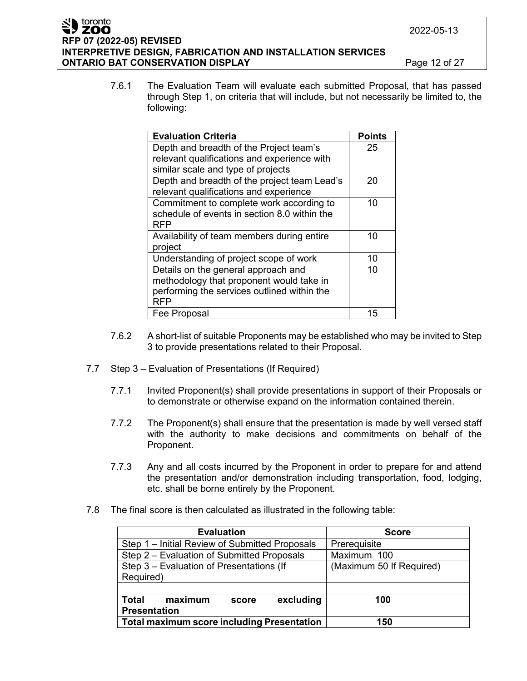#### toronto ZOO **RFP 07 (2022-05) REVISED INTERPRETIVE DESIGN, FABRICATION AND INSTALLATION SERVICES ONTARIO BAT CONSERVATION DISPLAY Page 12 of 27**

7.6.1 The Evaluation Team will evaluate each submitted Proposal, that has passed through Step 1, on criteria that will include, but not necessarily be limited to, the following:

| <b>Evaluation Criteria</b>                   | <b>Points</b> |
|----------------------------------------------|---------------|
| Depth and breadth of the Project team's      | 25            |
| relevant qualifications and experience with  |               |
| similar scale and type of projects           |               |
| Depth and breadth of the project team Lead's | 20            |
| relevant qualifications and experience       |               |
| Commitment to complete work according to     | 10            |
| schedule of events in section 8.0 within the |               |
| RFP                                          |               |
| Availability of team members during entire   | 10            |
| project                                      |               |
| Understanding of project scope of work       | 10            |
| Details on the general approach and          | 10            |
| methodology that proponent would take in     |               |
| performing the services outlined within the  |               |
| RFP                                          |               |
| Fee Proposal                                 | 15            |

- 7.6.2 A short-list of suitable Proponents may be established who may be invited to Step 3 to provide presentations related to their Proposal.
- 7.7 Step 3 Evaluation of Presentations (If Required)
	- 7.7.1 Invited Proponent(s) shall provide presentations in support of their Proposals or to demonstrate or otherwise expand on the information contained therein.
	- 7.7.2 The Proponent(s) shall ensure that the presentation is made by well versed staff with the authority to make decisions and commitments on behalf of the Proponent.
	- 7.7.3 Any and all costs incurred by the Proponent in order to prepare for and attend the presentation and/or demonstration including transportation, food, lodging, etc. shall be borne entirely by the Proponent.
- 7.8 The final score is then calculated as illustrated in the following table:

| <b>Evaluation</b>                                 | <b>Score</b>             |  |  |
|---------------------------------------------------|--------------------------|--|--|
| Step 1 - Initial Review of Submitted Proposals    | Prerequisite             |  |  |
| Step 2 – Evaluation of Submitted Proposals        | Maximum 100              |  |  |
| Step 3 - Evaluation of Presentations (If          | (Maximum 50 If Required) |  |  |
| Required)                                         |                          |  |  |
|                                                   |                          |  |  |
| excluding<br>Total<br>maximum<br>score            | 100                      |  |  |
| <b>Presentation</b>                               |                          |  |  |
| <b>Total maximum score including Presentation</b> | 150                      |  |  |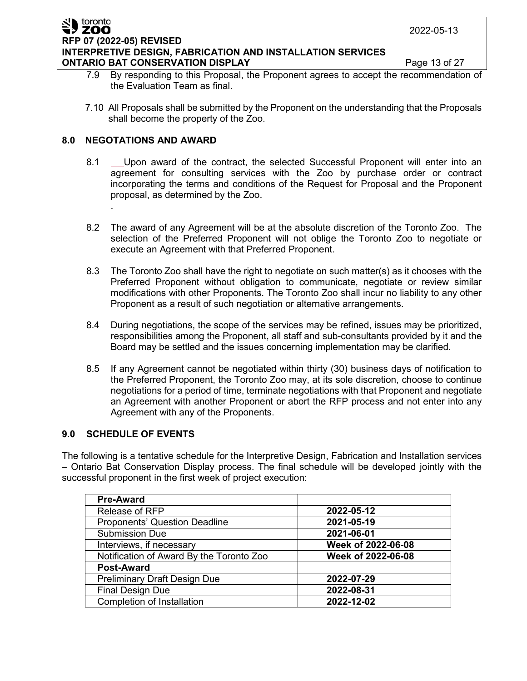#### toronto ZOO **RFP 07 (2022-05) REVISED INTERPRETIVE DESIGN, FABRICATION AND INSTALLATION SERVICES ONTARIO BAT CONSERVATION DISPLAY Page 13 of 27**

- 7.9 By responding to this Proposal, the Proponent agrees to accept the recommendation of the Evaluation Team as final.
- 7.10 All Proposals shall be submitted by the Proponent on the understanding that the Proposals shall become the property of the Zoo.

## **8.0 NEGOTATIONS AND AWARD**

.

- 8.1 Upon award of the contract, the selected Successful Proponent will enter into an agreement for consulting services with the Zoo by purchase order or contract incorporating the terms and conditions of the Request for Proposal and the Proponent proposal, as determined by the Zoo.
- 8.2 The award of any Agreement will be at the absolute discretion of the Toronto Zoo. The selection of the Preferred Proponent will not oblige the Toronto Zoo to negotiate or execute an Agreement with that Preferred Proponent.
- 8.3 The Toronto Zoo shall have the right to negotiate on such matter(s) as it chooses with the Preferred Proponent without obligation to communicate, negotiate or review similar modifications with other Proponents. The Toronto Zoo shall incur no liability to any other Proponent as a result of such negotiation or alternative arrangements.
- 8.4 During negotiations, the scope of the services may be refined, issues may be prioritized, responsibilities among the Proponent, all staff and sub-consultants provided by it and the Board may be settled and the issues concerning implementation may be clarified.
- 8.5 If any Agreement cannot be negotiated within thirty (30) business days of notification to the Preferred Proponent, the Toronto Zoo may, at its sole discretion, choose to continue negotiations for a period of time, terminate negotiations with that Proponent and negotiate an Agreement with another Proponent or abort the RFP process and not enter into any Agreement with any of the Proponents.

## **9.0 SCHEDULE OF EVENTS**

The following is a tentative schedule for the Interpretive Design, Fabrication and Installation services – Ontario Bat Conservation Display process. The final schedule will be developed jointly with the successful proponent in the first week of project execution:

| <b>Pre-Award</b>                         |                    |
|------------------------------------------|--------------------|
| Release of RFP                           | 2022-05-12         |
| <b>Proponents' Question Deadline</b>     | 2021-05-19         |
| <b>Submission Due</b>                    | 2021-06-01         |
| Interviews, if necessary                 | Week of 2022-06-08 |
| Notification of Award By the Toronto Zoo | Week of 2022-06-08 |
| <b>Post-Award</b>                        |                    |
| Preliminary Draft Design Due             | 2022-07-29         |
| <b>Final Design Due</b>                  | 2022-08-31         |
| Completion of Installation               | 2022-12-02         |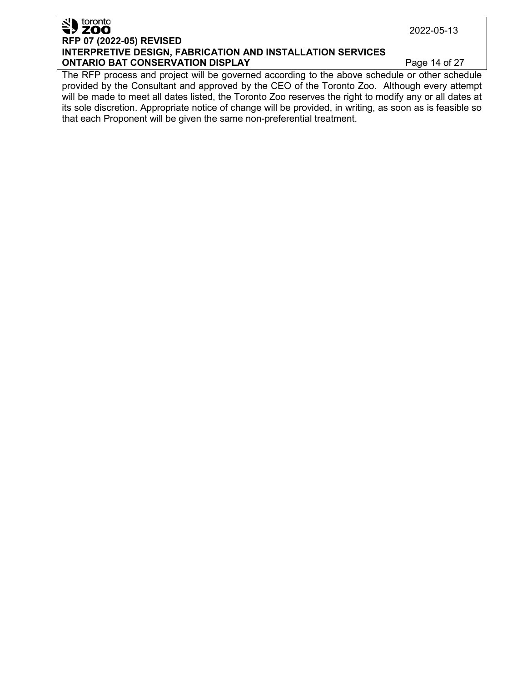## SID toronto **RFP 07 (2022-05) REVISED INTERPRETIVE DESIGN, FABRICATION AND INSTALLATION SERVICES ONTARIO BAT CONSERVATION DISPLAY Page 14 of 27**

The RFP process and project will be governed according to the above schedule or other schedule provided by the Consultant and approved by the CEO of the Toronto Zoo. Although every attempt will be made to meet all dates listed, the Toronto Zoo reserves the right to modify any or all dates at its sole discretion. Appropriate notice of change will be provided, in writing, as soon as is feasible so that each Proponent will be given the same non-preferential treatment.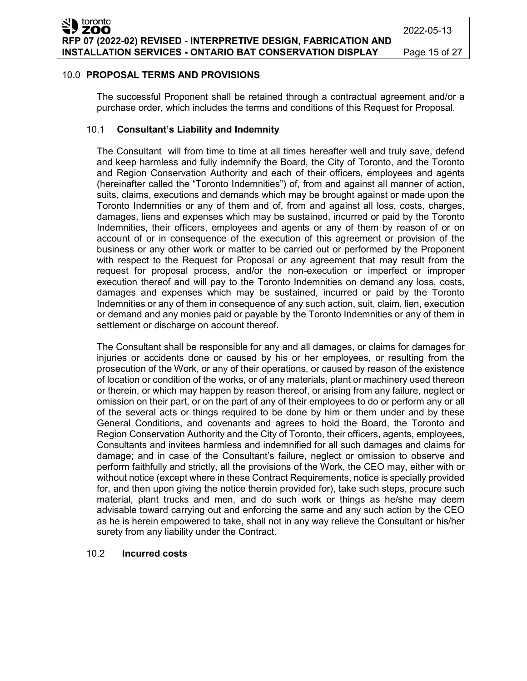#### 10.0 **PROPOSAL TERMS AND PROVISIONS**

The successful Proponent shall be retained through a contractual agreement and/or a purchase order, which includes the terms and conditions of this Request for Proposal.

### 10.1 **Consultant's Liability and Indemnity**

The Consultant will from time to time at all times hereafter well and truly save, defend and keep harmless and fully indemnify the Board, the City of Toronto, and the Toronto and Region Conservation Authority and each of their officers, employees and agents (hereinafter called the "Toronto Indemnities") of, from and against all manner of action, suits, claims, executions and demands which may be brought against or made upon the Toronto Indemnities or any of them and of, from and against all loss, costs, charges, damages, liens and expenses which may be sustained, incurred or paid by the Toronto Indemnities, their officers, employees and agents or any of them by reason of or on account of or in consequence of the execution of this agreement or provision of the business or any other work or matter to be carried out or performed by the Proponent with respect to the Request for Proposal or any agreement that may result from the request for proposal process, and/or the non-execution or imperfect or improper execution thereof and will pay to the Toronto Indemnities on demand any loss, costs, damages and expenses which may be sustained, incurred or paid by the Toronto Indemnities or any of them in consequence of any such action, suit, claim, lien, execution or demand and any monies paid or payable by the Toronto Indemnities or any of them in settlement or discharge on account thereof.

The Consultant shall be responsible for any and all damages, or claims for damages for injuries or accidents done or caused by his or her employees, or resulting from the prosecution of the Work, or any of their operations, or caused by reason of the existence of location or condition of the works, or of any materials, plant or machinery used thereon or therein, or which may happen by reason thereof, or arising from any failure, neglect or omission on their part, or on the part of any of their employees to do or perform any or all of the several acts or things required to be done by him or them under and by these General Conditions, and covenants and agrees to hold the Board, the Toronto and Region Conservation Authority and the City of Toronto, their officers, agents, employees, Consultants and invitees harmless and indemnified for all such damages and claims for damage; and in case of the Consultant's failure, neglect or omission to observe and perform faithfully and strictly, all the provisions of the Work, the CEO may, either with or without notice (except where in these Contract Requirements, notice is specially provided for, and then upon giving the notice therein provided for), take such steps, procure such material, plant trucks and men, and do such work or things as he/she may deem advisable toward carrying out and enforcing the same and any such action by the CEO as he is herein empowered to take, shall not in any way relieve the Consultant or his/her surety from any liability under the Contract.

#### 10.2 **Incurred costs**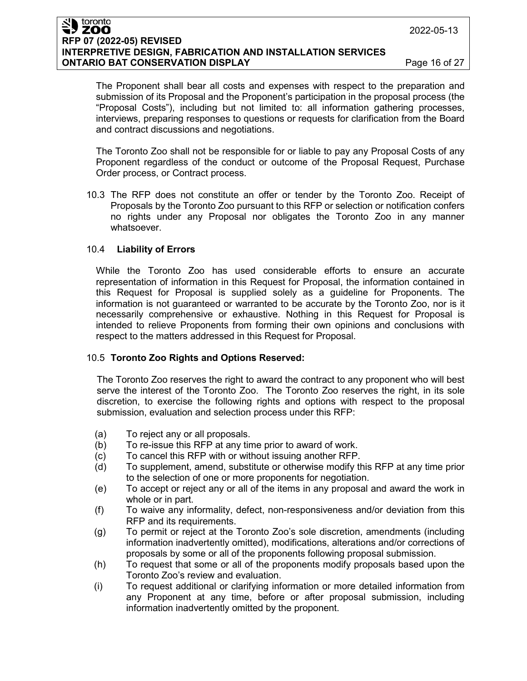#### toronto **ZOO RFP 07 (2022-05) REVISED INTERPRETIVE DESIGN, FABRICATION AND INSTALLATION SERVICES ONTARIO BAT CONSERVATION DISPLAY Page 16 of 27**

The Proponent shall bear all costs and expenses with respect to the preparation and submission of its Proposal and the Proponent's participation in the proposal process (the "Proposal Costs"), including but not limited to: all information gathering processes, interviews, preparing responses to questions or requests for clarification from the Board and contract discussions and negotiations.

The Toronto Zoo shall not be responsible for or liable to pay any Proposal Costs of any Proponent regardless of the conduct or outcome of the Proposal Request, Purchase Order process, or Contract process.

10.3 The RFP does not constitute an offer or tender by the Toronto Zoo. Receipt of Proposals by the Toronto Zoo pursuant to this RFP or selection or notification confers no rights under any Proposal nor obligates the Toronto Zoo in any manner whatsoever.

#### 10.4 **Liability of Errors**

While the Toronto Zoo has used considerable efforts to ensure an accurate representation of information in this Request for Proposal, the information contained in this Request for Proposal is supplied solely as a guideline for Proponents. The information is not guaranteed or warranted to be accurate by the Toronto Zoo, nor is it necessarily comprehensive or exhaustive. Nothing in this Request for Proposal is intended to relieve Proponents from forming their own opinions and conclusions with respect to the matters addressed in this Request for Proposal.

#### 10.5 **Toronto Zoo Rights and Options Reserved:**

The Toronto Zoo reserves the right to award the contract to any proponent who will best serve the interest of the Toronto Zoo. The Toronto Zoo reserves the right, in its sole discretion, to exercise the following rights and options with respect to the proposal submission, evaluation and selection process under this RFP:

- (a) To reject any or all proposals.
- (b) To re-issue this RFP at any time prior to award of work.
- (c) To cancel this RFP with or without issuing another RFP.
- (d) To supplement, amend, substitute or otherwise modify this RFP at any time prior to the selection of one or more proponents for negotiation.
- (e) To accept or reject any or all of the items in any proposal and award the work in whole or in part.
- (f) To waive any informality, defect, non-responsiveness and/or deviation from this RFP and its requirements.
- (g) To permit or reject at the Toronto Zoo's sole discretion, amendments (including information inadvertently omitted), modifications, alterations and/or corrections of proposals by some or all of the proponents following proposal submission.
- (h) To request that some or all of the proponents modify proposals based upon the Toronto Zoo's review and evaluation.
- (i) To request additional or clarifying information or more detailed information from any Proponent at any time, before or after proposal submission, including information inadvertently omitted by the proponent.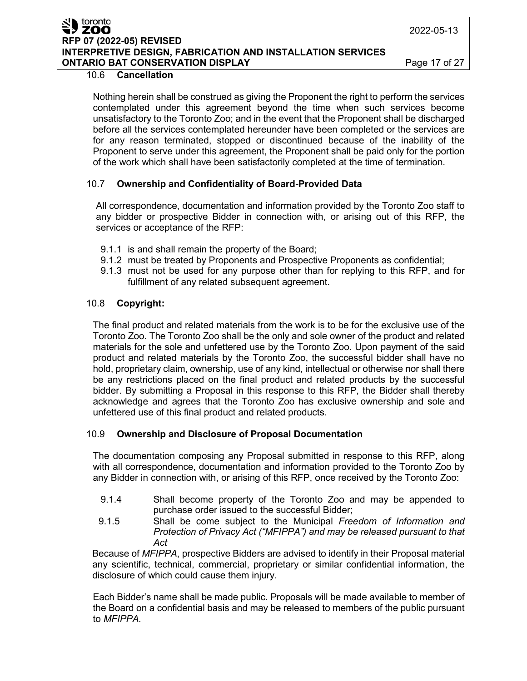ZOO **RFP 07 (2022-05) REVISED INTERPRETIVE DESIGN, FABRICATION AND INSTALLATION SERVICES ONTARIO BAT CONSERVATION DISPLAY Page 17 of 27** 

#### 10.6 **Cancellation**

toronto

Nothing herein shall be construed as giving the Proponent the right to perform the services contemplated under this agreement beyond the time when such services become unsatisfactory to the Toronto Zoo; and in the event that the Proponent shall be discharged before all the services contemplated hereunder have been completed or the services are for any reason terminated, stopped or discontinued because of the inability of the Proponent to serve under this agreement, the Proponent shall be paid only for the portion of the work which shall have been satisfactorily completed at the time of termination.

## 10.7 **Ownership and Confidentiality of Board-Provided Data**

All correspondence, documentation and information provided by the Toronto Zoo staff to any bidder or prospective Bidder in connection with, or arising out of this RFP, the services or acceptance of the RFP:

- 9.1.1 is and shall remain the property of the Board;
- 9.1.2 must be treated by Proponents and Prospective Proponents as confidential;
- 9.1.3 must not be used for any purpose other than for replying to this RFP, and for fulfillment of any related subsequent agreement.

## 10.8 **Copyright:**

The final product and related materials from the work is to be for the exclusive use of the Toronto Zoo. The Toronto Zoo shall be the only and sole owner of the product and related materials for the sole and unfettered use by the Toronto Zoo. Upon payment of the said product and related materials by the Toronto Zoo, the successful bidder shall have no hold, proprietary claim, ownership, use of any kind, intellectual or otherwise nor shall there be any restrictions placed on the final product and related products by the successful bidder. By submitting a Proposal in this response to this RFP, the Bidder shall thereby acknowledge and agrees that the Toronto Zoo has exclusive ownership and sole and unfettered use of this final product and related products.

## 10.9 **Ownership and Disclosure of Proposal Documentation**

The documentation composing any Proposal submitted in response to this RFP, along with all correspondence, documentation and information provided to the Toronto Zoo by any Bidder in connection with, or arising of this RFP, once received by the Toronto Zoo:

- 9.1.4 Shall become property of the Toronto Zoo and may be appended to purchase order issued to the successful Bidder;
- 9.1.5 Shall be come subject to the Municipal *Freedom of Information and Protection of Privacy Act ("MFIPPA") and may be released pursuant to that Act*

Because of *MFIPPA*, prospective Bidders are advised to identify in their Proposal material any scientific, technical, commercial, proprietary or similar confidential information, the disclosure of which could cause them injury.

Each Bidder's name shall be made public. Proposals will be made available to member of the Board on a confidential basis and may be released to members of the public pursuant to *MFIPPA.*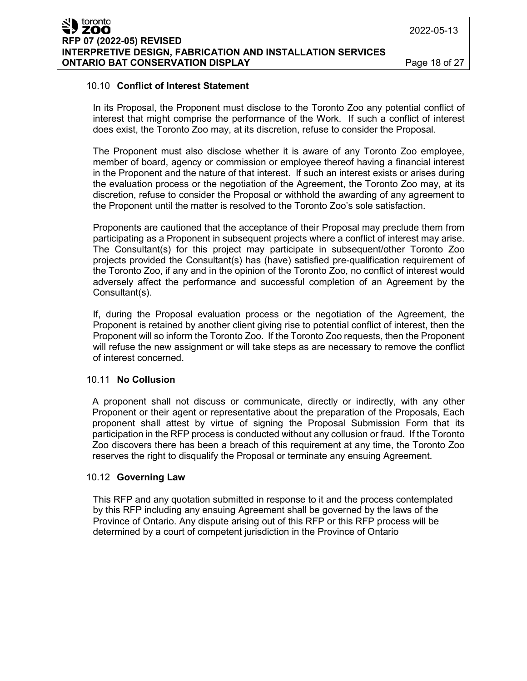### 10.10 **Conflict of Interest Statement**

In its Proposal, the Proponent must disclose to the Toronto Zoo any potential conflict of interest that might comprise the performance of the Work. If such a conflict of interest does exist, the Toronto Zoo may, at its discretion, refuse to consider the Proposal.

The Proponent must also disclose whether it is aware of any Toronto Zoo employee, member of board, agency or commission or employee thereof having a financial interest in the Proponent and the nature of that interest. If such an interest exists or arises during the evaluation process or the negotiation of the Agreement, the Toronto Zoo may, at its discretion, refuse to consider the Proposal or withhold the awarding of any agreement to the Proponent until the matter is resolved to the Toronto Zoo's sole satisfaction.

Proponents are cautioned that the acceptance of their Proposal may preclude them from participating as a Proponent in subsequent projects where a conflict of interest may arise. The Consultant(s) for this project may participate in subsequent/other Toronto Zoo projects provided the Consultant(s) has (have) satisfied pre-qualification requirement of the Toronto Zoo, if any and in the opinion of the Toronto Zoo, no conflict of interest would adversely affect the performance and successful completion of an Agreement by the Consultant(s).

If, during the Proposal evaluation process or the negotiation of the Agreement, the Proponent is retained by another client giving rise to potential conflict of interest, then the Proponent will so inform the Toronto Zoo. If the Toronto Zoo requests, then the Proponent will refuse the new assignment or will take steps as are necessary to remove the conflict of interest concerned.

#### 10.11 **No Collusion**

A proponent shall not discuss or communicate, directly or indirectly, with any other Proponent or their agent or representative about the preparation of the Proposals, Each proponent shall attest by virtue of signing the Proposal Submission Form that its participation in the RFP process is conducted without any collusion or fraud. If the Toronto Zoo discovers there has been a breach of this requirement at any time, the Toronto Zoo reserves the right to disqualify the Proposal or terminate any ensuing Agreement.

#### 10.12 **Governing Law**

This RFP and any quotation submitted in response to it and the process contemplated by this RFP including any ensuing Agreement shall be governed by the laws of the Province of Ontario. Any dispute arising out of this RFP or this RFP process will be determined by a court of competent jurisdiction in the Province of Ontario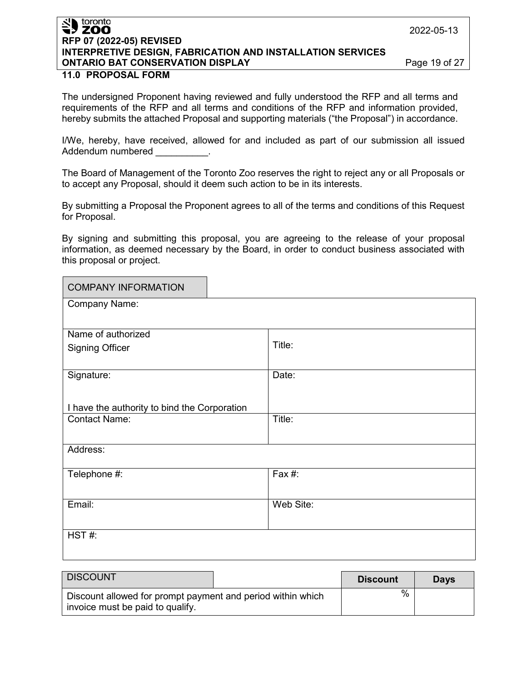### toronto ' ZOO **RFP 07 (2022-05) REVISED INTERPRETIVE DESIGN, FABRICATION AND INSTALLATION SERVICES ONTARIO BAT CONSERVATION DISPLAY Page 19 of 27**

#### **11.0 PROPOSAL FORM**

The undersigned Proponent having reviewed and fully understood the RFP and all terms and requirements of the RFP and all terms and conditions of the RFP and information provided, hereby submits the attached Proposal and supporting materials ("the Proposal") in accordance.

I/We, hereby, have received, allowed for and included as part of our submission all issued Addendum numbered

The Board of Management of the Toronto Zoo reserves the right to reject any or all Proposals or to accept any Proposal, should it deem such action to be in its interests.

By submitting a Proposal the Proponent agrees to all of the terms and conditions of this Request for Proposal.

By signing and submitting this proposal, you are agreeing to the release of your proposal information, as deemed necessary by the Board, in order to conduct business associated with this proposal or project.

| <b>COMPANY INFORMATION</b>                   |           |  |  |  |
|----------------------------------------------|-----------|--|--|--|
| Company Name:                                |           |  |  |  |
|                                              |           |  |  |  |
| Name of authorized                           |           |  |  |  |
| <b>Signing Officer</b>                       | Title:    |  |  |  |
|                                              |           |  |  |  |
| Signature:                                   | Date:     |  |  |  |
|                                              |           |  |  |  |
| I have the authority to bind the Corporation |           |  |  |  |
| <b>Contact Name:</b>                         | Title:    |  |  |  |
|                                              |           |  |  |  |
| Address:                                     |           |  |  |  |
|                                              |           |  |  |  |
| Telephone #:                                 | Fax #:    |  |  |  |
|                                              |           |  |  |  |
| Email:                                       | Web Site: |  |  |  |
|                                              |           |  |  |  |
| HST#:                                        |           |  |  |  |
|                                              |           |  |  |  |

| <b>DISCOUNT</b>                                                                                 | <b>Discount</b> | <b>Davs</b> |
|-------------------------------------------------------------------------------------------------|-----------------|-------------|
| Discount allowed for prompt payment and period within which<br>invoice must be paid to qualify. | %               |             |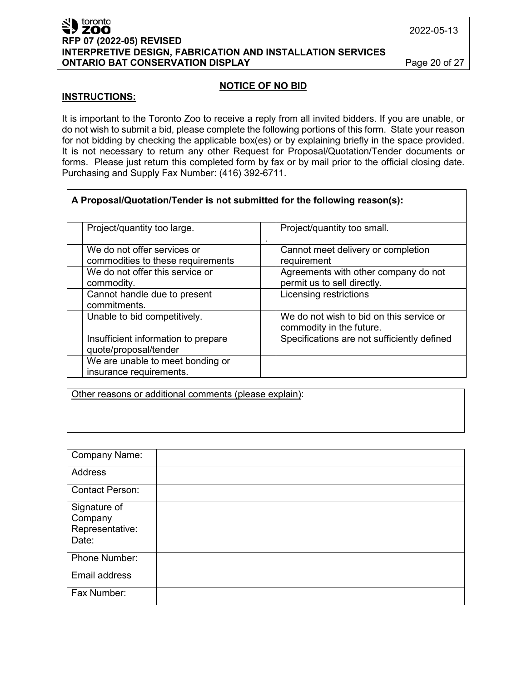#### toronto **ZOO RFP 07 (2022-05) REVISED INTERPRETIVE DESIGN, FABRICATION AND INSTALLATION SERVICES ONTARIO BAT CONSERVATION DISPLAY Page 20 of 27**

2022-05-13

#### **NOTICE OF NO BID**

#### **INSTRUCTIONS:**

It is important to the Toronto Zoo to receive a reply from all invited bidders. If you are unable, or do not wish to submit a bid, please complete the following portions of this form. State your reason for not bidding by checking the applicable box(es) or by explaining briefly in the space provided. It is not necessary to return any other Request for Proposal/Quotation/Tender documents or forms. Please just return this completed form by fax or by mail prior to the official closing date. Purchasing and Supply Fax Number: (416) 392-6711.

| A Proposal/Quotation/Tender is not submitted for the following reason(s): |                                                                      |  |  |  |  |  |
|---------------------------------------------------------------------------|----------------------------------------------------------------------|--|--|--|--|--|
| Project/quantity too large.                                               | Project/quantity too small.                                          |  |  |  |  |  |
| We do not offer services or<br>commodities to these requirements          | Cannot meet delivery or completion<br>requirement                    |  |  |  |  |  |
| We do not offer this service or<br>commodity.                             | Agreements with other company do not<br>permit us to sell directly.  |  |  |  |  |  |
| Cannot handle due to present<br>commitments.                              | Licensing restrictions                                               |  |  |  |  |  |
| Unable to bid competitively.                                              | We do not wish to bid on this service or<br>commodity in the future. |  |  |  |  |  |
| Insufficient information to prepare<br>quote/proposal/tender              | Specifications are not sufficiently defined                          |  |  |  |  |  |
| We are unable to meet bonding or<br>insurance requirements.               |                                                                      |  |  |  |  |  |

Other reasons or additional comments (please explain):

| <b>Company Name:</b>   |  |
|------------------------|--|
| Address                |  |
| <b>Contact Person:</b> |  |
| Signature of           |  |
| Company                |  |
| Representative:        |  |
| Date:                  |  |
| Phone Number:          |  |
| Email address          |  |
| Fax Number:            |  |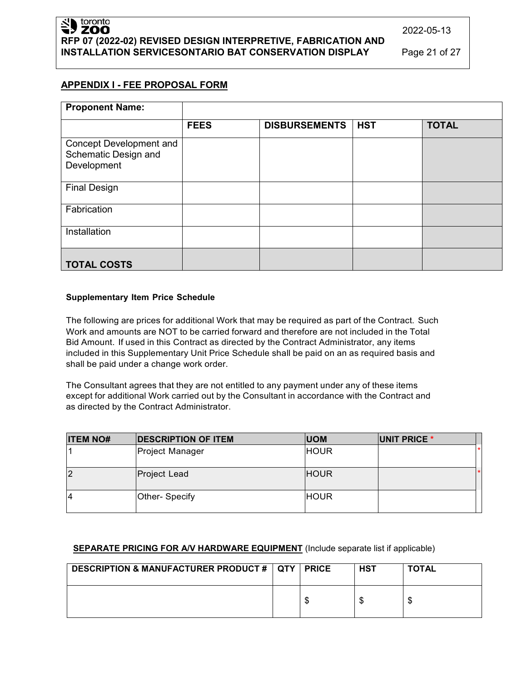## **APPENDIX I - FEE PROPOSAL FORM**

| <b>Proponent Name:</b>                                         |             |                      |            |              |
|----------------------------------------------------------------|-------------|----------------------|------------|--------------|
|                                                                | <b>FEES</b> | <b>DISBURSEMENTS</b> | <b>HST</b> | <b>TOTAL</b> |
| Concept Development and<br>Schematic Design and<br>Development |             |                      |            |              |
| <b>Final Design</b>                                            |             |                      |            |              |
| Fabrication                                                    |             |                      |            |              |
| Installation                                                   |             |                      |            |              |
| <b>TOTAL COSTS</b>                                             |             |                      |            |              |

#### **Supplementary Item Price Schedule**

The following are prices for additional Work that may be required as part of the Contract. Such Work and amounts are NOT to be carried forward and therefore are not included in the Total Bid Amount. If used in this Contract as directed by the Contract Administrator, any items included in this Supplementary Unit Price Schedule shall be paid on an as required basis and shall be paid under a change work order.

The Consultant agrees that they are not entitled to any payment under any of these items except for additional Work carried out by the Consultant in accordance with the Contract and as directed by the Contract Administrator.

| <b>ITEM NO#</b> | <b>DESCRIPTION OF ITEM</b> | <b>UOM</b>  | UNIT PRICE * |  |
|-----------------|----------------------------|-------------|--------------|--|
|                 | Project Manager            | <b>HOUR</b> |              |  |
| $\overline{2}$  | Project Lead               | <b>HOUR</b> |              |  |
| 14              | Other- Specify             | <b>HOUR</b> |              |  |

#### **SEPARATE PRICING FOR A/V HARDWARE EQUIPMENT** (Include separate list if applicable)

| <b>DESCRIPTION &amp; MANUFACTURER PRODUCT #   QTY  </b> | <b>PRICE</b> | <b>HST</b> | <b>TOTAL</b> |
|---------------------------------------------------------|--------------|------------|--------------|
|                                                         | кD           |            | ۰D           |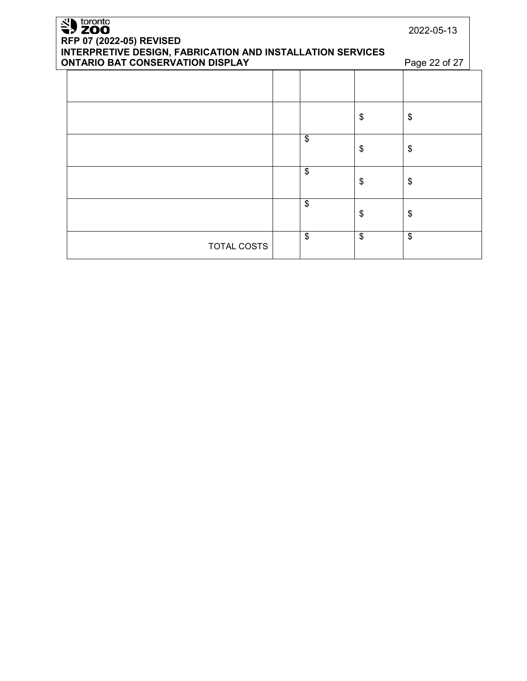| SU toronto<br>RFP 07 (2022-05) REVISED                                                                | 2022-05-13         |    |    |               |
|-------------------------------------------------------------------------------------------------------|--------------------|----|----|---------------|
| INTERPRETIVE DESIGN, FABRICATION AND INSTALLATION SERVICES<br><b>ONTARIO BAT CONSERVATION DISPLAY</b> |                    |    |    | Page 22 of 27 |
|                                                                                                       |                    |    |    |               |
|                                                                                                       |                    |    | \$ | \$            |
|                                                                                                       |                    | \$ | \$ | \$            |
|                                                                                                       |                    | \$ | \$ | \$            |
|                                                                                                       |                    | \$ | \$ | \$            |
|                                                                                                       | <b>TOTAL COSTS</b> | \$ | \$ | \$            |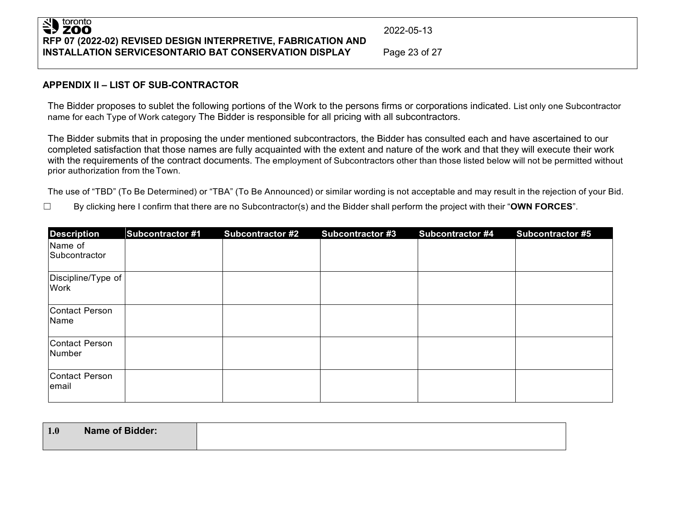# SU toronto **RFP 07 (2022-02) REVISED DESIGN INTERPRETIVE, FABRICATION AND INSTALLATION SERVICESONTARIO BAT CONSERVATION DISPLAY** Page 23 of 27

2022-05-13

### **APPENDIX II – LIST OF SUB-CONTRACTOR**

The Bidder proposes to sublet the following portions of the Work to the persons firms or corporations indicated. List only one Subcontractor name for each Type of Work category The Bidder is responsible for all pricing with all subcontractors.

The Bidder submits that in proposing the under mentioned subcontractors, the Bidder has consulted each and have ascertained to our completed satisfaction that those names are fully acquainted with the extent and nature of the work and that they will execute their work with the requirements of the contract documents. The employment of Subcontractors other than those listed below will not be permitted without prior authorization from theTown.

The use of "TBD" (To Be Determined) or "TBA" (To Be Announced) or similar wording is not acceptable and may result in the rejection of your Bid.

☐ By clicking here I confirm that there are no Subcontractor(s) and the Bidder shall perform the project with their "**OWN FORCES**".

| <b>Description</b>         | <b>Subcontractor #1</b> | <b>Subcontractor #2</b> | <b>Subcontractor #3</b> | <b>Subcontractor #4</b> | <b>Subcontractor #5</b> |
|----------------------------|-------------------------|-------------------------|-------------------------|-------------------------|-------------------------|
| Name of<br>Subcontractor   |                         |                         |                         |                         |                         |
| Discipline/Type of<br>Work |                         |                         |                         |                         |                         |
| Contact Person<br>Name     |                         |                         |                         |                         |                         |
| Contact Person<br>Number   |                         |                         |                         |                         |                         |
| Contact Person<br>email    |                         |                         |                         |                         |                         |

| 1.0 | <b>Name of Bidder:</b> |
|-----|------------------------|
|     |                        |
|     |                        |
|     |                        |
|     |                        |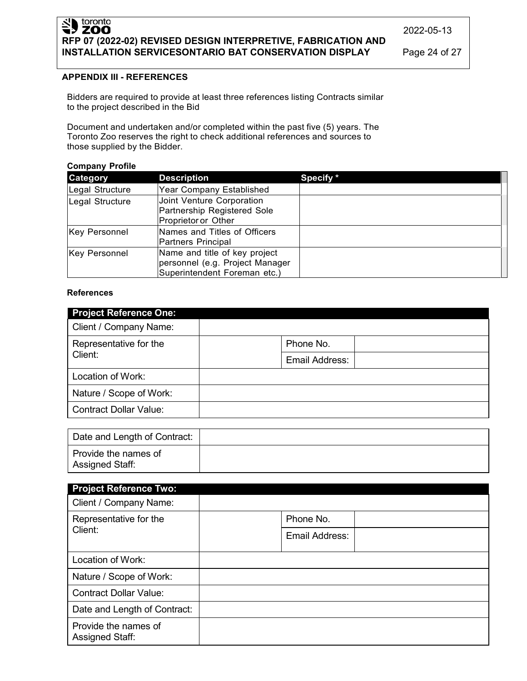# SID toronto **RFP 07 (2022-02) REVISED DESIGN INTERPRETIVE, FABRICATION AND INSTALLATION SERVICESONTARIO BAT CONSERVATION DISPLAY** Page 24 of 27

2022-05-13

## **APPENDIX III - REFERENCES**

Bidders are required to provide at least three references listing Contracts similar to the project described in the Bid

Document and undertaken and/or completed within the past five (5) years. The Toronto Zoo reserves the right to check additional references and sources to those supplied by the Bidder.

#### **Company Profile**

| <b>Category</b> | <b>Description</b>                                                                               | Specify * |
|-----------------|--------------------------------------------------------------------------------------------------|-----------|
| Legal Structure | <b>Year Company Established</b>                                                                  |           |
| Legal Structure | Joint Venture Corporation<br>Partnership Registered Sole<br>Proprietor or Other                  |           |
| Key Personnel   | Names and Titles of Officers<br>Partners Principal                                               |           |
| Key Personnel   | Name and title of key project<br>personnel (e.g. Project Manager<br>Superintendent Foreman etc.) |           |

#### **References**

| <b>Project Reference One:</b> |                |
|-------------------------------|----------------|
| Client / Company Name:        |                |
| Representative for the        | Phone No.      |
| Client:                       | Email Address: |
| Location of Work:             |                |
| Nature / Scope of Work:       |                |
| <b>Contract Dollar Value:</b> |                |

| Date and Length of Contract:            |  |
|-----------------------------------------|--|
| Provide the names of<br>Assigned Staff: |  |

| <b>Project Reference Two:</b>                  |                |  |
|------------------------------------------------|----------------|--|
| Client / Company Name:                         |                |  |
| Representative for the                         | Phone No.      |  |
| Client:                                        | Email Address: |  |
| Location of Work:                              |                |  |
| Nature / Scope of Work:                        |                |  |
| <b>Contract Dollar Value:</b>                  |                |  |
| Date and Length of Contract:                   |                |  |
| Provide the names of<br><b>Assigned Staff:</b> |                |  |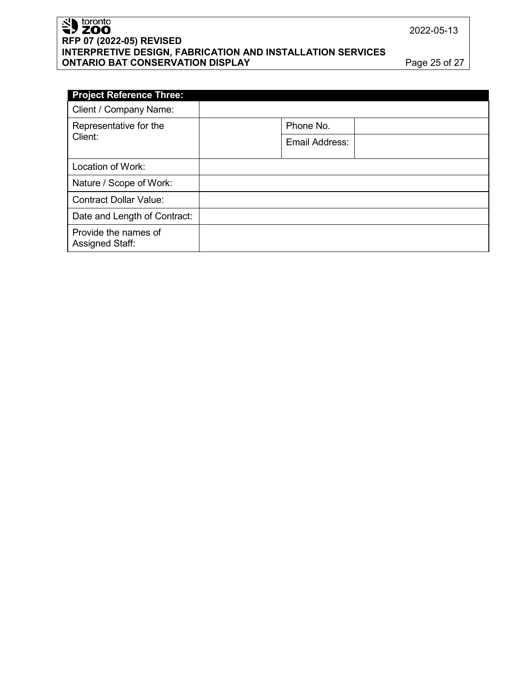# Sales toronto **RFP 07 (2022-05) REVISED INTERPRETIVE DESIGN, FABRICATION AND INSTALLATION SERVICES ONTARIO BAT CONSERVATION DISPLAY Page 25 of 27**

| <b>Project Reference Three:</b>                |                |  |
|------------------------------------------------|----------------|--|
| Client / Company Name:                         |                |  |
| Representative for the                         | Phone No.      |  |
| Client:                                        | Email Address: |  |
| Location of Work:                              |                |  |
| Nature / Scope of Work:                        |                |  |
| <b>Contract Dollar Value:</b>                  |                |  |
| Date and Length of Contract:                   |                |  |
| Provide the names of<br><b>Assigned Staff:</b> |                |  |

2022-05-13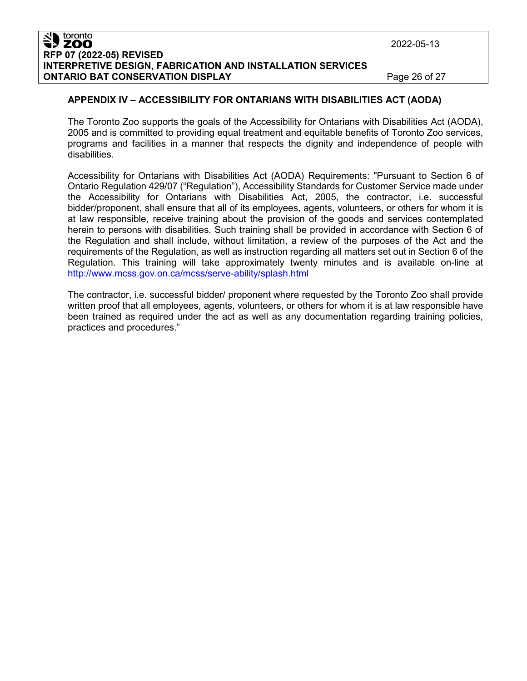#### toronto ZOO **RFP 07 (2022-05) REVISED INTERPRETIVE DESIGN, FABRICATION AND INSTALLATION SERVICES ONTARIO BAT CONSERVATION DISPLAY Page 26 of 27**

2022-05-13

### **APPENDIX IV – ACCESSIBILITY FOR ONTARIANS WITH DISABILITIES ACT (AODA)**

The Toronto Zoo supports the goals of the Accessibility for Ontarians with Disabilities Act (AODA), 2005 and is committed to providing equal treatment and equitable benefits of Toronto Zoo services, programs and facilities in a manner that respects the dignity and independence of people with disabilities.

Accessibility for Ontarians with Disabilities Act (AODA) Requirements: "Pursuant to Section 6 of Ontario Regulation 429/07 ("Regulation"), Accessibility Standards for Customer Service made under the Accessibility for Ontarians with Disabilities Act, 2005, the contractor, i.e. successful bidder/proponent, shall ensure that all of its employees, agents, volunteers, or others for whom it is at law responsible, receive training about the provision of the goods and services contemplated herein to persons with disabilities. Such training shall be provided in accordance with Section 6 of the Regulation and shall include, without limitation, a review of the purposes of the Act and the requirements of the Regulation, as well as instruction regarding all matters set out in Section 6 of the Regulation. This training will take approximately twenty minutes and is available on-line at <http://www.mcss.gov.on.ca/mcss/serve-ability/splash.html>

The contractor, i.e. successful bidder/ proponent where requested by the Toronto Zoo shall provide written proof that all employees, agents, volunteers, or others for whom it is at law responsible have been trained as required under the act as well as any documentation regarding training policies, practices and procedures."